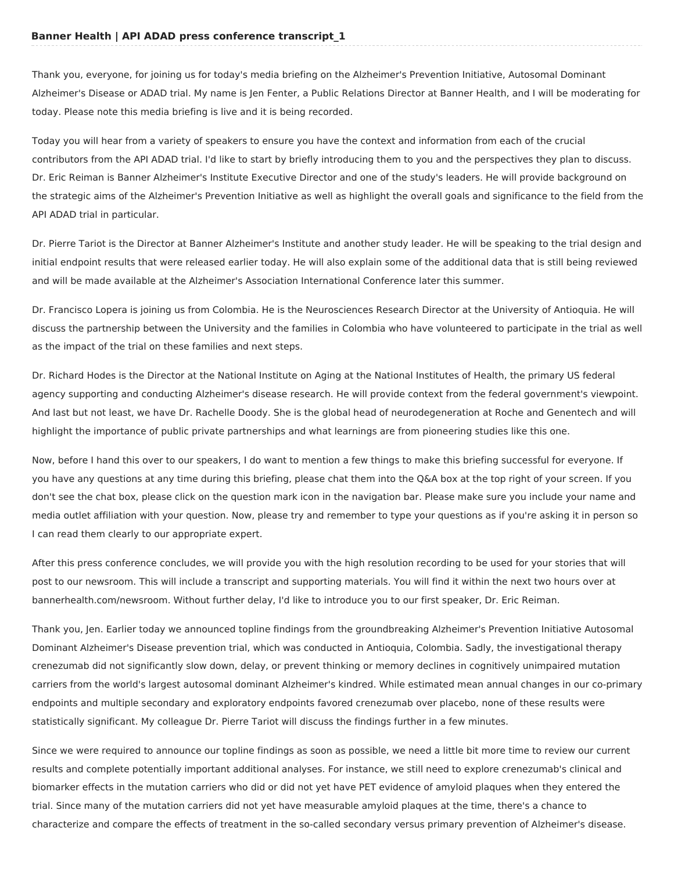Thank you, everyone, for joining us for today's media briefing on the Alzheimer's Prevention Initiative, Autosomal Dominant Alzheimer's Disease or ADAD trial. My name is Jen Fenter, a Public Relations Director at Banner Health, and I will be moderating for today. Please note this media briefing is live and it is being recorded.

Today you will hear from a variety of speakers to ensure you have the context and information from each of the crucial contributors from the API ADAD trial. I'd like to start by briefly introducing them to you and the perspectives they plan to discuss. Dr. Eric Reiman is Banner Alzheimer's Institute Executive Director and one of the study's leaders. He will provide background on the strategic aims of the Alzheimer's Prevention Initiative as well as highlight the overall goals and significance to the field from the API ADAD trial in particular.

Dr. Pierre Tariot is the Director at Banner Alzheimer's Institute and another study leader. He will be speaking to the trial design and initial endpoint results that were released earlier today. He will also explain some of the additional data that is still being reviewed and will be made available at the Alzheimer's Association International Conference later this summer.

Dr. Francisco Lopera is joining us from Colombia. He is the Neurosciences Research Director at the University of Antioquia. He will discuss the partnership between the University and the families in Colombia who have volunteered to participate in the trial as well as the impact of the trial on these families and next steps.

Dr. Richard Hodes is the Director at the National Institute on Aging at the National Institutes of Health, the primary US federal agency supporting and conducting Alzheimer's disease research. He will provide context from the federal government's viewpoint. And last but not least, we have Dr. Rachelle Doody. She is the global head of neurodegeneration at Roche and Genentech and will highlight the importance of public private partnerships and what learnings are from pioneering studies like this one.

Now, before I hand this over to our speakers, I do want to mention a few things to make this briefing successful for everyone. If you have any questions at any time during this briefing, please chat them into the Q&A box at the top right of your screen. If you don't see the chat box, please click on the question mark icon in the navigation bar. Please make sure you include your name and media outlet affiliation with your question. Now, please try and remember to type your questions as if you're asking it in person so I can read them clearly to our appropriate expert.

After this press conference concludes, we will provide you with the high resolution recording to be used for your stories that will post to our newsroom. This will include a transcript and supporting materials. You will find it within the next two hours over at bannerhealth.com/newsroom. Without further delay, I'd like to introduce you to our first speaker, Dr. Eric Reiman.

Thank you, Jen. Earlier today we announced topline findings from the groundbreaking Alzheimer's Prevention Initiative Autosomal Dominant Alzheimer's Disease prevention trial, which was conducted in Antioquia, Colombia. Sadly, the investigational therapy crenezumab did not significantly slow down, delay, or prevent thinking or memory declines in cognitively unimpaired mutation carriers from the world's largest autosomal dominant Alzheimer's kindred. While estimated mean annual changes in our co-primary endpoints and multiple secondary and exploratory endpoints favored crenezumab over placebo, none of these results were statistically significant. My colleague Dr. Pierre Tariot will discuss the findings further in a few minutes.

Since we were required to announce our topline findings as soon as possible, we need a little bit more time to review our current results and complete potentially important additional analyses. For instance, we still need to explore crenezumab's clinical and biomarker effects in the mutation carriers who did or did not yet have PET evidence of amyloid plaques when they entered the trial. Since many of the mutation carriers did not yet have measurable amyloid plaques at the time, there's a chance to characterize and compare the effects of treatment in the so-called secondary versus primary prevention of Alzheimer's disease.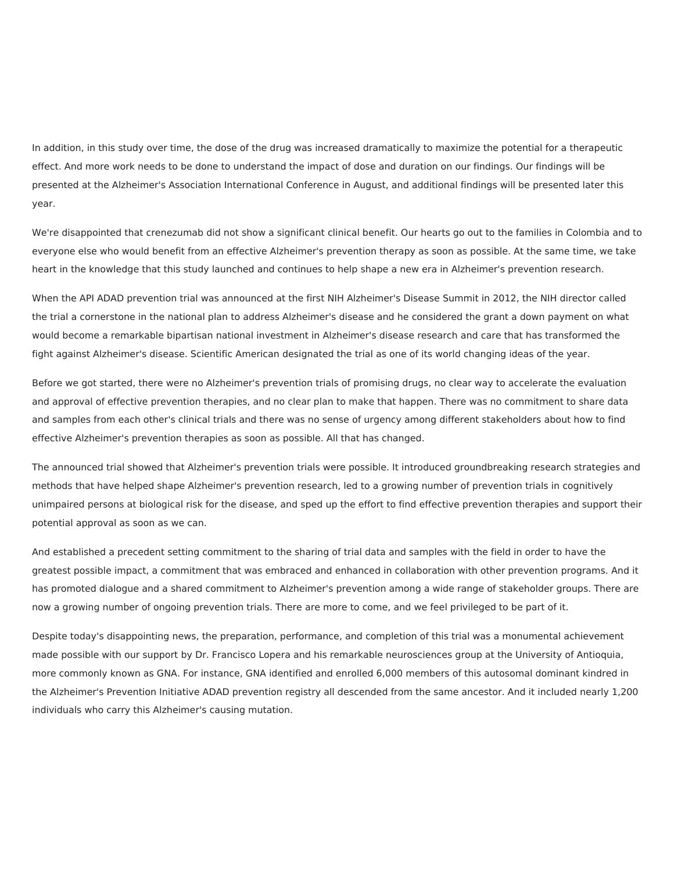In addition, in this study over time, the dose of the drug was increased dramatically to maximize the potential for a therapeutic effect. And more work needs to be done to understand the impact of dose and duration on our findings. Our findings will be presented at the Alzheimer's Association International Conference in August, and additional findings will be presented later this year.

We're disappointed that crenezumab did not show a significant clinical benefit. Our hearts go out to the families in Colombia and to everyone else who would benefit from an effective Alzheimer's prevention therapy as soon as possible. At the same time, we take heart in the knowledge that this study launched and continues to help shape a new era in Alzheimer's prevention research.

When the API ADAD prevention trial was announced at the first NIH Alzheimer's Disease Summit in 2012, the NIH director called the trial a cornerstone in the national plan to address Alzheimer's disease and he considered the grant a down payment on what would become a remarkable bipartisan national investment in Alzheimer's disease research and care that has transformed the fight against Alzheimer's disease. Scientific American designated the trial as one of its world changing ideas of the year.

Before we got started, there were no Alzheimer's prevention trials of promising drugs, no clear way to accelerate the evaluation and approval of effective prevention therapies, and no clear plan to make that happen. There was no commitment to share data and samples from each other's clinical trials and there was no sense of urgency among different stakeholders about how to find effective Alzheimer's prevention therapies as soon as possible. All that has changed.

The announced trial showed that Alzheimer's prevention trials were possible. It introduced groundbreaking research strategies and methods that have helped shape Alzheimer's prevention research, led to a growing number of prevention trials in cognitively unimpaired persons at biological risk for the disease, and sped up the effort to find effective prevention therapies and support their potential approval as soon as we can.

And established a precedent setting commitment to the sharing of trial data and samples with the field in order to have the greatest possible impact, a commitment that was embraced and enhanced in collaboration with other prevention programs. And it has promoted dialogue and a shared commitment to Alzheimer's prevention among a wide range of stakeholder groups. There are now a growing number of ongoing prevention trials. There are more to come, and we feel privileged to be part of it.

Despite today's disappointing news, the preparation, performance, and completion of this trial was a monumental achievement made possible with our support by Dr. Francisco Lopera and his remarkable neurosciences group at the University of Antioquia, more commonly known as GNA. For instance, GNA identified and enrolled 6,000 members of this autosomal dominant kindred in the Alzheimer's Prevention Initiative ADAD prevention registry all descended from the same ancestor. And it included nearly 1,200 individuals who carry this Alzheimer's causing mutation.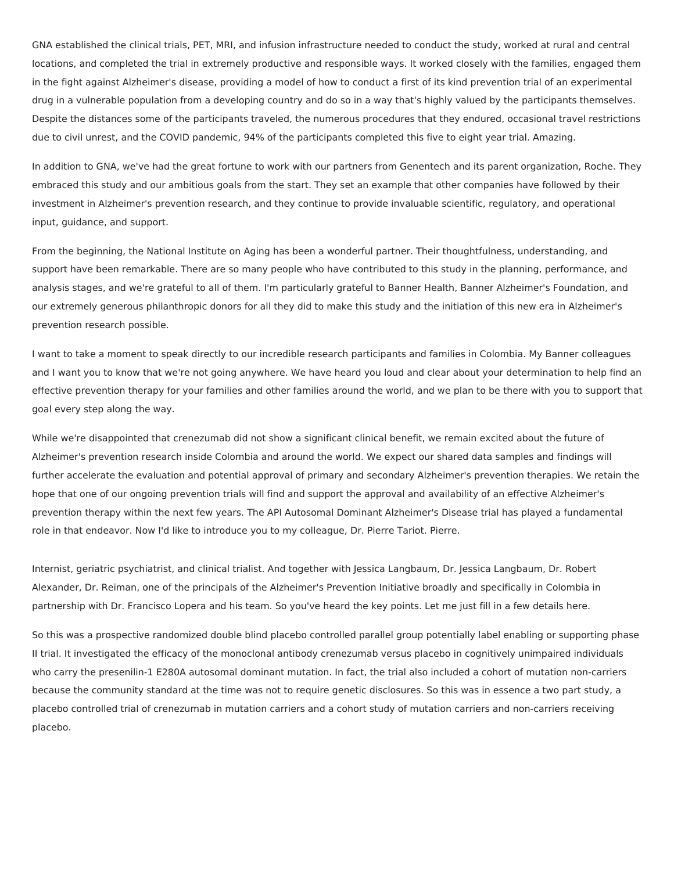GNA established the clinical trials, PET, MRI, and infusion infrastructure needed to conduct the study, worked at rural and central locations, and completed the trial in extremely productive and responsible ways. It worked closely with the families, engaged them in the fight against Alzheimer's disease, providing a model of how to conduct a first of its kind prevention trial of an experimental drug in a vulnerable population from a developing country and do so in a way that's highly valued by the participants themselves. Despite the distances some of the participants traveled, the numerous procedures that they endured, occasional travel restrictions due to civil unrest, and the COVID pandemic, 94% of the participants completed this five to eight year trial. Amazing.

In addition to GNA, we've had the great fortune to work with our partners from Genentech and its parent organization, Roche. They embraced this study and our ambitious goals from the start. They set an example that other companies have followed by their investment in Alzheimer's prevention research, and they continue to provide invaluable scientific, regulatory, and operational input, guidance, and support.

From the beginning, the National Institute on Aging has been a wonderful partner. Their thoughtfulness, understanding, and support have been remarkable. There are so many people who have contributed to this study in the planning, performance, and analysis stages, and we're grateful to all of them. I'm particularly grateful to Banner Health, Banner Alzheimer's Foundation, and our extremely generous philanthropic donors for all they did to make this study and the initiation of this new era in Alzheimer's prevention research possible.

I want to take a moment to speak directly to our incredible research participants and families in Colombia. My Banner colleagues and I want you to know that we're not going anywhere. We have heard you loud and clear about your determination to help find an effective prevention therapy for your families and other families around the world, and we plan to be there with you to support that goal every step along the way.

While we're disappointed that crenezumab did not show a significant clinical benefit, we remain excited about the future of Alzheimer's prevention research inside Colombia and around the world. We expect our shared data samples and findings will further accelerate the evaluation and potential approval of primary and secondary Alzheimer's prevention therapies. We retain the hope that one of our ongoing prevention trials will find and support the approval and availability of an effective Alzheimer's prevention therapy within the next few years. The API Autosomal Dominant Alzheimer's Disease trial has played a fundamental role in that endeavor. Now I'd like to introduce you to my colleague, Dr. Pierre Tariot. Pierre.

Internist, geriatric psychiatrist, and clinical trialist. And together with Jessica Langbaum, Dr. Jessica Langbaum, Dr. Robert Alexander, Dr. Reiman, one of the principals of the Alzheimer's Prevention Initiative broadly and specifically in Colombia in partnership with Dr. Francisco Lopera and his team. So you've heard the key points. Let me just fill in a few details here.

So this was a prospective randomized double blind placebo controlled parallel group potentially label enabling or supporting phase II trial. It investigated the efficacy of the monoclonal antibody crenezumab versus placebo in cognitively unimpaired individuals who carry the presenilin-1 E280A autosomal dominant mutation. In fact, the trial also included a cohort of mutation non-carriers because the community standard at the time was not to require genetic disclosures. So this was in essence a two part study, a placebo controlled trial of crenezumab in mutation carriers and a cohort study of mutation carriers and non-carriers receiving placebo.